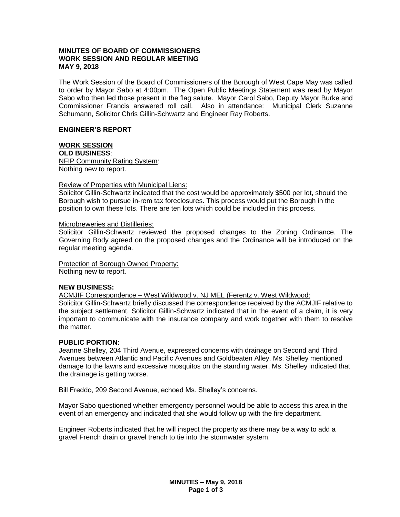## **MINUTES OF BOARD OF COMMISSIONERS WORK SESSION AND REGULAR MEETING MAY 9, 2018**

The Work Session of the Board of Commissioners of the Borough of West Cape May was called to order by Mayor Sabo at 4:00pm. The Open Public Meetings Statement was read by Mayor Sabo who then led those present in the flag salute. Mayor Carol Sabo, Deputy Mayor Burke and Commissioner Francis answered roll call. Also in attendance: Municipal Clerk Suzanne Schumann, Solicitor Chris Gillin-Schwartz and Engineer Ray Roberts.

### **ENGINEER'S REPORT**

# **WORK SESSION**

**OLD BUSINESS**: NFIP Community Rating System: Nothing new to report.

### Review of Properties with Municipal Liens:

Solicitor Gillin-Schwartz indicated that the cost would be approximately \$500 per lot, should the Borough wish to pursue in-rem tax foreclosures. This process would put the Borough in the position to own these lots. There are ten lots which could be included in this process.

#### Microbreweries and Distilleries:

Solicitor Gillin-Schwartz reviewed the proposed changes to the Zoning Ordinance. The Governing Body agreed on the proposed changes and the Ordinance will be introduced on the regular meeting agenda.

Protection of Borough Owned Property: Nothing new to report.

## **NEW BUSINESS:**

ACMJIF Correspondence – West Wildwood v. NJ MEL (Ferentz v. West Wildwood: Solicitor Gillin-Schwartz briefly discussed the correspondence received by the ACMJIF relative to the subject settlement. Solicitor Gillin-Schwartz indicated that in the event of a claim, it is very important to communicate with the insurance company and work together with them to resolve the matter.

## **PUBLIC PORTION:**

Jeanne Shelley, 204 Third Avenue, expressed concerns with drainage on Second and Third Avenues between Atlantic and Pacific Avenues and Goldbeaten Alley. Ms. Shelley mentioned damage to the lawns and excessive mosquitos on the standing water. Ms. Shelley indicated that the drainage is getting worse.

Bill Freddo, 209 Second Avenue, echoed Ms. Shelley's concerns.

Mayor Sabo questioned whether emergency personnel would be able to access this area in the event of an emergency and indicated that she would follow up with the fire department.

Engineer Roberts indicated that he will inspect the property as there may be a way to add a gravel French drain or gravel trench to tie into the stormwater system.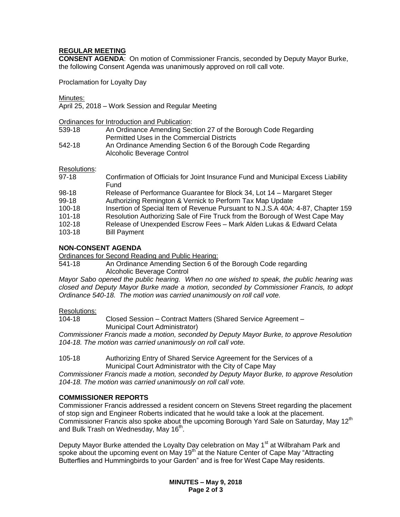## **REGULAR MEETING**

**CONSENT AGENDA**: On motion of Commissioner Francis, seconded by Deputy Mayor Burke, the following Consent Agenda was unanimously approved on roll call vote.

Proclamation for Loyalty Day

Minutes:

April 25, 2018 – Work Session and Regular Meeting

Ordinances for Introduction and Publication:

| 539-18 | An Ordinance Amending Section 27 of the Borough Code Regarding |
|--------|----------------------------------------------------------------|
|        | Permitted Uses in the Commercial Districts                     |
| 542-18 | An Ordinance Amending Section 6 of the Borough Code Regarding  |
|        | Alcoholic Beverage Control                                     |

Resolutions:

- 97-18 Confirmation of Officials for Joint Insurance Fund and Municipal Excess Liability Fund 98-18 Release of Performance Guarantee for Block 34, Lot 14 – Margaret Steger
- 99-18 Authorizing Remington & Vernick to Perform Tax Map Update
- 100-18 Insertion of Special Item of Revenue Pursuant to N.J.S.A 40A: 4-87, Chapter 159
- 101-18 Resolution Authorizing Sale of Fire Truck from the Borough of West Cape May
- 102-18 Release of Unexpended Escrow Fees Mark Alden Lukas & Edward Celata
- 103-18 Bill Payment

## **NON-CONSENT AGENDA**

Ordinances for Second Reading and Public Hearing:

541-18 An Ordinance Amending Section 6 of the Borough Code regarding Alcoholic Beverage Control

*Mayor Sabo opened the public hearing. When no one wished to speak, the public hearing was closed and Deputy Mayor Burke made a motion, seconded by Commissioner Francis, to adopt Ordinance 540-18. The motion was carried unanimously on roll call vote.*

## Resolutions:

104-18 Closed Session – Contract Matters (Shared Service Agreement – Municipal Court Administrator)

*Commissioner Francis made a motion, seconded by Deputy Mayor Burke, to approve Resolution 104-18. The motion was carried unanimously on roll call vote.*

### 105-18 Authorizing Entry of Shared Service Agreement for the Services of a Municipal Court Administrator with the City of Cape May

*Commissioner Francis made a motion, seconded by Deputy Mayor Burke, to approve Resolution 104-18. The motion was carried unanimously on roll call vote.*

## **COMMISSIONER REPORTS**

Commissioner Francis addressed a resident concern on Stevens Street regarding the placement of stop sign and Engineer Roberts indicated that he would take a look at the placement. Commissioner Francis also spoke about the upcoming Borough Yard Sale on Saturday, May 12<sup>th</sup> and Bulk Trash on Wednesday, May 16<sup>th</sup>.

Deputy Mayor Burke attended the Loyalty Day celebration on May 1<sup>st</sup> at Wilbraham Park and spoke about the upcoming event on May  $19<sup>th</sup>$  at the Nature Center of Cape May "Attracting Butterflies and Hummingbirds to your Garden" and is free for West Cape May residents.

> **MINUTES – May 9, 2018 Page 2 of 3**